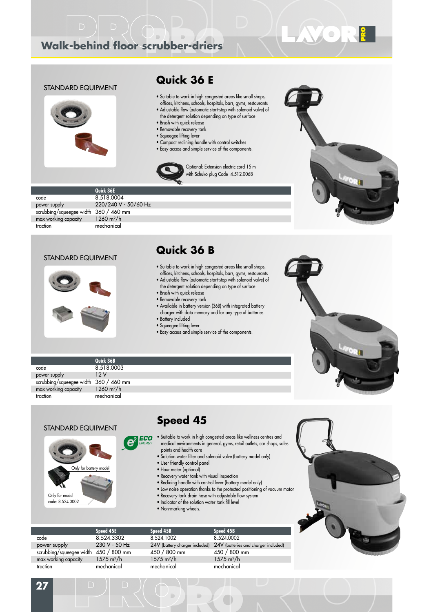## **Walk-behind floor scrubber-driers**



## **Quick 36 E**

- Suitable to work in high congested areas like small shops, offices, kitchens, schools, hospitals, bars, gyms, restaurants
- Adjustable flow (automatic start-stop with solenoid valve) of the detergent solution depending on type of surface

Optional: Extension electric cord 15 m with Schuko plug Code 4.512.0068

- Brush with quick release
- Removable recovery tank
- Squeegee lifting lever
- Compact reclining handle with control switches
- Easy access and simple service of the components.





**OR!** 

|                          | Quick 36E            |
|--------------------------|----------------------|
| code                     | 8.518.0004           |
| power supply             | 220/240 V - 50/60 Hz |
| scrubbing/squeegee width | 360 / 460 mm         |
| max working capacity     | $1260 \text{ m}^2/h$ |
| traction                 | mechanical           |
|                          |                      |

#### STANDARD EQUIPMENT



## **Quick 36 B**

- Suitable to work in high congested areas like small shops, offices, kitchens, schools, hospitals, bars, gyms, restaurants
- Adjustable flow (automatic start-stop with solenoid valve) of the detergent solution depending on type of surface
- Brush with quick release
- Removable recovery tank
- Available in battery version (36B) with integrated battery charger with data memory and for any type of batteries. • Battery included
- Squeegee lifting lever
- 
- Easy access and simple service of the components.



|                                       | Quick 36B            |  |
|---------------------------------------|----------------------|--|
| code                                  | 8.518.0003           |  |
| power supply                          | 12 V                 |  |
| scrubbing/squeegee width 360 / 460 mm |                      |  |
| max working capacity                  | $1260 \text{ m}^2/h$ |  |
| traction                              | mechanical           |  |
|                                       |                      |  |

#### STANDARD EQUIPMENT

Only for battery model

┍

Only for model code: 8.524.0002



- **C**<sup>2</sup> **ECO** Suitable to work in high congested areas like wellness centres and medical environments in general, gyms, retail outlets, car shops, sales points and health care
	- Solution water filter and solenoid valve (battery model only)
	- User friendly control panel
	- Hour meter (optional)
	- Recovery water tank with visual inspection
	- Reclining handle with control lever (battery model only)
	- Low noise operation thanks to the protected positioning of vacuum motor
	- Recovery tank drain hose with adjustable flow system
	- Indicator of the solution water tank fill level
	- Non-marking wheels.



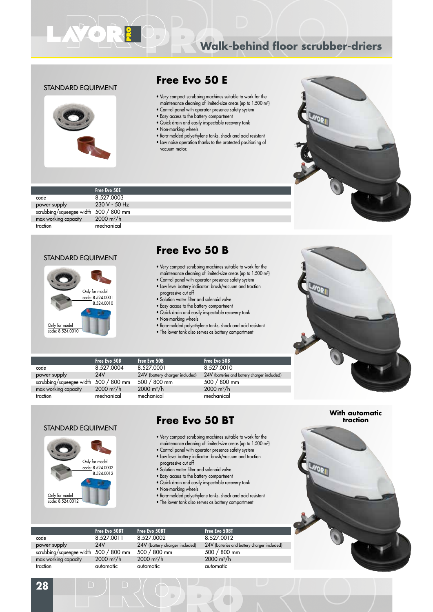# **Walk-behind floor scrubber-driers**

#### STANDARD EQUIPMENT



### **Free Evo 50 E**

- Very compact scrubbing machines suitable to work for the maintenance cleaning of limited-size areas (up to 1.500 m²)
- Control panel with operator presence safety system • Easy access to the battery compartment
- Quick drain and easily inspectable recovery tank
- Non-marking wheels
- Roto-molded polyethylene tanks, shock and acid resistant
- Low noise operation thanks to the protected positioning of vacuum motor.



|                          | <b>Free Evo 50E</b>  |
|--------------------------|----------------------|
| code                     | 8.527.0003           |
| power supply             | 230 V - 50 Hz        |
| scrubbing/squeegee width | 500 / 800 mm         |
| max working capacity     | $2000 \text{ m}^2/h$ |
| traction                 | mechanical           |

#### STANDARD EQUIPMENT



### **Free Evo 50 B**

- Very compact scrubbing machines suitable to work for the maintenance cleaning of limited-size areas (up to 1.500 m<sup>2</sup>)
- Control panel with operator presence safety system • Low level battery indicator: brush/vacuum and traction
- progressive cut off
- Solution water filter and solenoid valve
- Easy access to the battery compartment
- Quick drain and easily inspectable recovery tank
- Non-marking wheels
- Roto-molded polyethylene tanks, shock and acid resistant
- The lower tank also serves as battery compartment

| ELECT |  |
|-------|--|
|       |  |
|       |  |
|       |  |

|                          | Free Evo 50B         | Free Evo 50B                   | Free Evo 50B                                 |
|--------------------------|----------------------|--------------------------------|----------------------------------------------|
| code                     | 8.527.0004           | 8.527.0001                     | 8.527.0010                                   |
| power supply             | 24V                  | 24V (battery charger included) | 24V (batteries and battery charger included) |
| scrubbing/squeegee width | 500 / 800 mm         | 500 / 800 mm                   | 500 / 800 mm                                 |
| max working capacity     | $2000 \text{ m}^2/h$ | $2000 \text{ m}^2/h$           | $2000 \text{ m}^2/h$                         |
| traction                 | mechanical           | mechanical                     | mechanical                                   |
|                          |                      |                                |                                              |

#### STANDARD EQUIPMENT



┍

## **Free Evo 50 BT**

- Very compact scrubbing machines suitable to work for the maintenance cleaning of limited-size areas (up to 1.500 m<sup>2</sup>)
- Control panel with operator presence safety system • Low level battery indicator: brush/vacuum and traction
- 
- progressive cut off • Solution water filter and solenoid valve
- Easy access to the battery compartment
- Quick drain and easily inspectable recovery tank
- Non-marking wheels
- 
- Roto-molded polyethylene tanks, shock and acid resistant • The lower tank also serves as battery compartment
- 

**Free Evo 50BT Free Evo 50BT Free Evo 50BT** code 8.527.0011 8.527.0002 8.527.0012<br>
power supply 24V 24V (battery charger included) 24V (batteries a power supply 24V 24V 24V (battery charger included) 24V (batteries and battery charger included)<br>scrubbing/squeeqee width 500 / 800 mm 500 / 800 mm 500 / 800 mm scrubbing/squeegee width 500 / 800 mm 500 / 800 mm 500 / 800 mm 500 / 800 m $\frac{2500}{100}$  / 800 m<sup>2</sup>/h 300 m<sup>2</sup>/h 500 m<sup>2</sup>/h 500 m<sup>2</sup>/h 500 m<sup>2</sup>/h 500 m<sup>2</sup>/h 500 m<sup>2</sup>/h 500 m<sup>2</sup>/h 500 m<sup>2</sup>/h 500 m<sup>2</sup>/h 500 m<sup>2</sup>/h 500 m<sup>2</sup> max working capacity traction automatic automatic automatic

**With automatic traction**